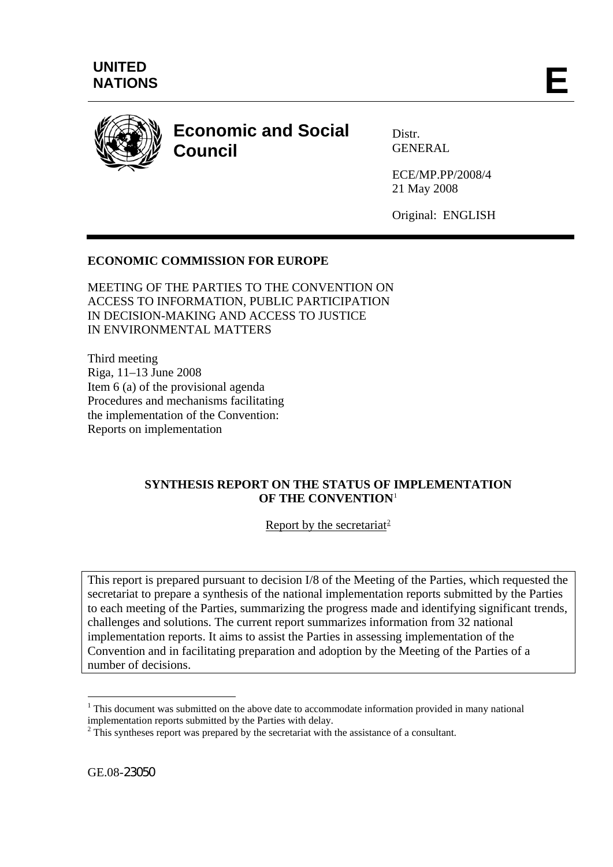

# **Economic and Social Council**

Distr. GENERAL

ECE/MP.PP/2008/4 21 May 2008

Original: ENGLISH

# **ECONOMIC COMMISSION FOR EUROPE**

MEETING OF THE PARTIES TO THE CONVENTION ON ACCESS TO INFORMATION, PUBLIC PARTICIPATION IN DECISION-MAKING AND ACCESS TO JUSTICE IN ENVIRONMENTAL MATTERS

Third meeting Riga, 11–13 June 2008 Item 6 (a) of the provisional agenda Procedures and mechanisms facilitating the implementation of the Convention: Reports on implementation

### **SYNTHESIS REPORT ON THE STATUS OF IMPLEMENTATION OF THE CONVENTION**[1](#page-0-0)

Report by the secretariat<sup>[2](#page-0-1)</sup>

This report is prepared pursuant to decision I/8 of the Meeting of the Parties, which requested the secretariat to prepare a synthesis of the national implementation reports submitted by the Parties to each meeting of the Parties, summarizing the progress made and identifying significant trends, challenges and solutions. The current report summarizes information from 32 national implementation reports. It aims to assist the Parties in assessing implementation of the Convention and in facilitating preparation and adoption by the Meeting of the Parties of a number of decisions.

<u>.</u>

<span id="page-0-0"></span><sup>&</sup>lt;sup>1</sup> This document was submitted on the above date to accommodate information provided in many national implementation reports submitted by the Parties with delay.

<span id="page-0-1"></span> $2 \text{ This synthesis report was prepared by the secretariat with the assistance of a consultant.}$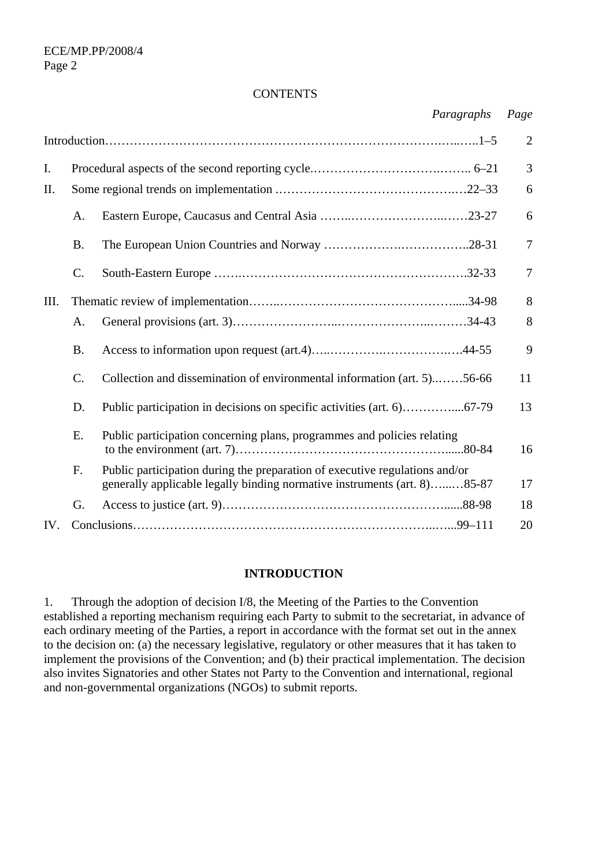#### **CONTENTS**

|      |                 | Paragraphs                                                                                                                                              | Page           |
|------|-----------------|---------------------------------------------------------------------------------------------------------------------------------------------------------|----------------|
|      |                 |                                                                                                                                                         | $\overline{2}$ |
| I.   |                 |                                                                                                                                                         | 3              |
| Π.   |                 |                                                                                                                                                         | 6              |
|      | A.              |                                                                                                                                                         | 6              |
|      | <b>B.</b>       |                                                                                                                                                         | $\tau$         |
|      | $C$ .           |                                                                                                                                                         | $\overline{7}$ |
| III. |                 |                                                                                                                                                         | 8              |
|      | A.              |                                                                                                                                                         | 8              |
|      | <b>B.</b>       |                                                                                                                                                         | 9              |
|      | $\mathcal{C}$ . | Collection and dissemination of environmental information (art. 5)56-66                                                                                 | 11             |
|      | D.              |                                                                                                                                                         | 13             |
|      | Ε.              | Public participation concerning plans, programmes and policies relating                                                                                 | 16             |
|      | F.              | Public participation during the preparation of executive regulations and/or<br>generally applicable legally binding normative instruments (art. 8)85-87 | 17             |
|      | G.              |                                                                                                                                                         | 18             |
| IV.  |                 |                                                                                                                                                         | 20             |

#### **INTRODUCTION**

1. Through the adoption of decision I/8, the Meeting of the Parties to the Convention established a reporting mechanism requiring each Party to submit to the secretariat, in advance of each ordinary meeting of the Parties, a report in accordance with the format set out in the annex to the decision on: (a) the necessary legislative, regulatory or other measures that it has taken to implement the provisions of the Convention; and (b) their practical implementation. The decision also invites Signatories and other States not Party to the Convention and international, regional and non-governmental organizations (NGOs) to submit reports.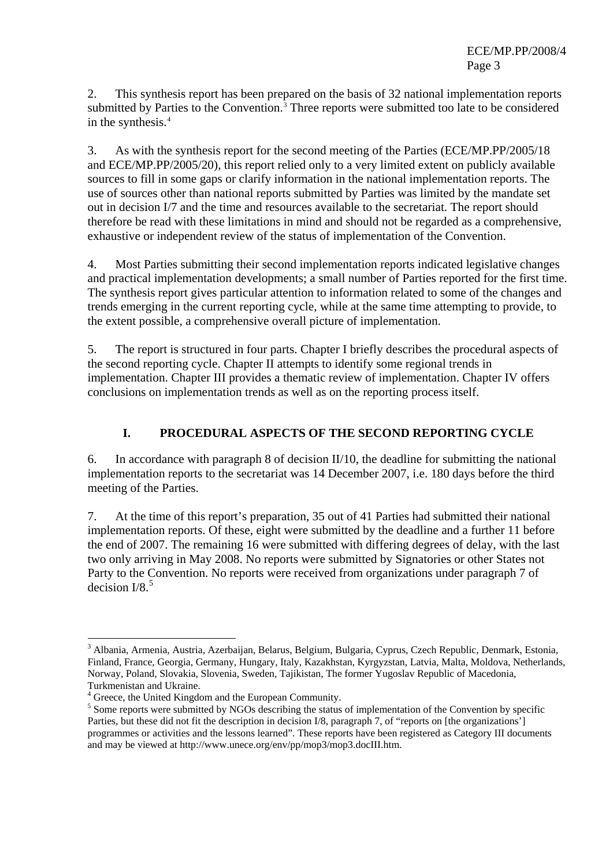2. This synthesis report has been prepared on the basis of 32 national implementation reports submitted by Parties to the Convention.<sup>[3](#page-2-0)</sup> Three reports were submitted too late to be considered in the synthesis.[4](#page-2-1)

3. As with the synthesis report for the second meeting of the Parties (ECE/MP.PP/2005/18 and ECE/MP.PP/2005/20), this report relied only to a very limited extent on publicly available sources to fill in some gaps or clarify information in the national implementation reports. The use of sources other than national reports submitted by Parties was limited by the mandate set out in decision I/7 and the time and resources available to the secretariat. The report should therefore be read with these limitations in mind and should not be regarded as a comprehensive, exhaustive or independent review of the status of implementation of the Convention.

4. Most Parties submitting their second implementation reports indicated legislative changes and practical implementation developments; a small number of Parties reported for the first time. The synthesis report gives particular attention to information related to some of the changes and trends emerging in the current reporting cycle, while at the same time attempting to provide, to the extent possible, a comprehensive overall picture of implementation.

5. The report is structured in four parts. Chapter I briefly describes the procedural aspects of the second reporting cycle. Chapter II attempts to identify some regional trends in implementation. Chapter III provides a thematic review of implementation. Chapter IV offers conclusions on implementation trends as well as on the reporting process itself.

## **I. PROCEDURAL ASPECTS OF THE SECOND REPORTING CYCLE**

6. In accordance with paragraph 8 of decision II/10, the deadline for submitting the national implementation reports to the secretariat was 14 December 2007, i.e. 180 days before the third meeting of the Parties.

7. At the time of this report's preparation, 35 out of 41 Parties had submitted their national implementation reports. Of these, eight were submitted by the deadline and a further 11 before the end of 2007. The remaining 16 were submitted with differing degrees of delay, with the last two only arriving in May 2008. No reports were submitted by Signatories or other States not Party to the Convention. No reports were received from organizations under paragraph 7 of decision  $I/8<sup>5</sup>$  $I/8<sup>5</sup>$  $I/8<sup>5</sup>$ 

<u>.</u>

<span id="page-2-0"></span><sup>&</sup>lt;sup>3</sup> Albania, Armenia, Austria, Azerbaijan, Belarus, Belgium, Bulgaria, Cyprus, Czech Republic, Denmark, Estonia, Finland, France, Georgia, Germany, Hungary, Italy, Kazakhstan, Kyrgyzstan, Latvia, Malta, Moldova, Netherlands, Norway, Poland, Slovakia, Slovenia, Sweden, Tajikistan, The former Yugoslav Republic of Macedonia, Turkmenistan and Ukraine.

<span id="page-2-1"></span><sup>&</sup>lt;sup>4</sup> Greece, the United Kingdom and the European Community.

<span id="page-2-2"></span><sup>&</sup>lt;sup>5</sup> Some reports were submitted by NGOs describing the status of implementation of the Convention by specific Parties, but these did not fit the description in decision I/8, paragraph 7, of "reports on [the organizations'] programmes or activities and the lessons learned". These reports have been registered as Category III documents and may be viewed at http://www.unece.org/env/pp/mop3/mop3.docIII.htm.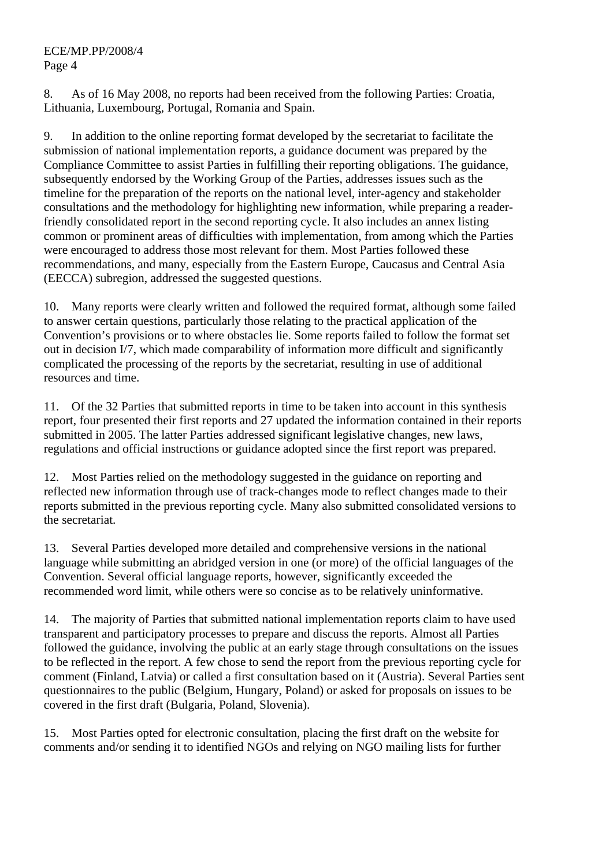#### ECE/MP.PP/2008/4 Page 4

8. As of 16 May 2008, no reports had been received from the following Parties: Croatia, Lithuania, Luxembourg, Portugal, Romania and Spain.

9. In addition to the online reporting format developed by the secretariat to facilitate the submission of national implementation reports, a guidance document was prepared by the Compliance Committee to assist Parties in fulfilling their reporting obligations. The guidance, subsequently endorsed by the Working Group of the Parties, addresses issues such as the timeline for the preparation of the reports on the national level, inter-agency and stakeholder consultations and the methodology for highlighting new information, while preparing a readerfriendly consolidated report in the second reporting cycle. It also includes an annex listing common or prominent areas of difficulties with implementation, from among which the Parties were encouraged to address those most relevant for them. Most Parties followed these recommendations, and many, especially from the Eastern Europe, Caucasus and Central Asia (EECCA) subregion, addressed the suggested questions.

10. Many reports were clearly written and followed the required format, although some failed to answer certain questions, particularly those relating to the practical application of the Convention's provisions or to where obstacles lie. Some reports failed to follow the format set out in decision I/7, which made comparability of information more difficult and significantly complicated the processing of the reports by the secretariat, resulting in use of additional resources and time.

11. Of the 32 Parties that submitted reports in time to be taken into account in this synthesis report, four presented their first reports and 27 updated the information contained in their reports submitted in 2005. The latter Parties addressed significant legislative changes, new laws, regulations and official instructions or guidance adopted since the first report was prepared.

12. Most Parties relied on the methodology suggested in the guidance on reporting and reflected new information through use of track-changes mode to reflect changes made to their reports submitted in the previous reporting cycle. Many also submitted consolidated versions to the secretariat.

13. Several Parties developed more detailed and comprehensive versions in the national language while submitting an abridged version in one (or more) of the official languages of the Convention. Several official language reports, however, significantly exceeded the recommended word limit, while others were so concise as to be relatively uninformative.

14. The majority of Parties that submitted national implementation reports claim to have used transparent and participatory processes to prepare and discuss the reports. Almost all Parties followed the guidance, involving the public at an early stage through consultations on the issues to be reflected in the report. A few chose to send the report from the previous reporting cycle for comment (Finland, Latvia) or called a first consultation based on it (Austria). Several Parties sent questionnaires to the public (Belgium, Hungary, Poland) or asked for proposals on issues to be covered in the first draft (Bulgaria, Poland, Slovenia).

15. Most Parties opted for electronic consultation, placing the first draft on the website for comments and/or sending it to identified NGOs and relying on NGO mailing lists for further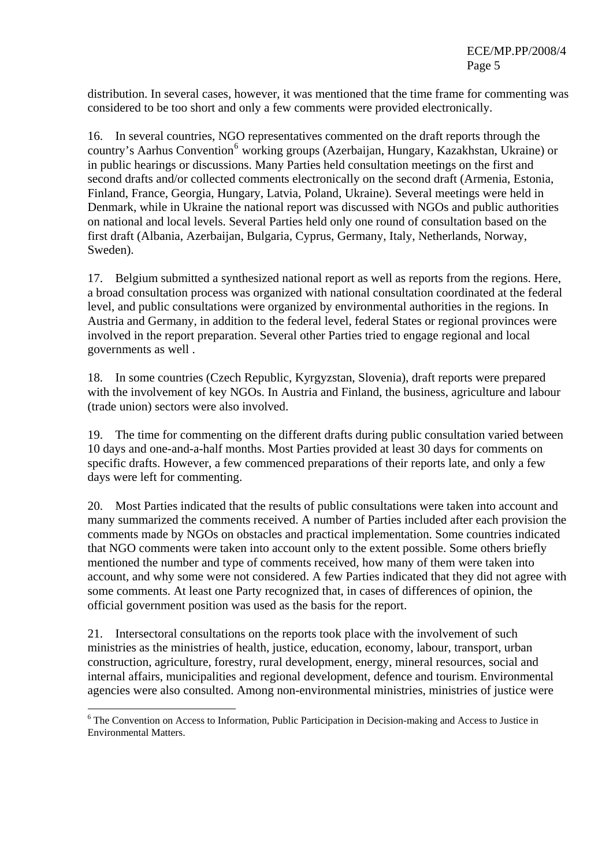distribution. In several cases, however, it was mentioned that the time frame for commenting was considered to be too short and only a few comments were provided electronically.

16. In several countries, NGO representatives commented on the draft reports through the country's Aarhus Convention<sup>[6](#page-4-0)</sup> working groups (Azerbaijan, Hungary, Kazakhstan, Ukraine) or in public hearings or discussions. Many Parties held consultation meetings on the first and second drafts and/or collected comments electronically on the second draft (Armenia, Estonia, Finland, France, Georgia, Hungary, Latvia, Poland, Ukraine). Several meetings were held in Denmark, while in Ukraine the national report was discussed with NGOs and public authorities on national and local levels. Several Parties held only one round of consultation based on the first draft (Albania, Azerbaijan, Bulgaria, Cyprus, Germany, Italy, Netherlands, Norway, Sweden).

17. Belgium submitted a synthesized national report as well as reports from the regions. Here, a broad consultation process was organized with national consultation coordinated at the federal level, and public consultations were organized by environmental authorities in the regions. In Austria and Germany, in addition to the federal level, federal States or regional provinces were involved in the report preparation. Several other Parties tried to engage regional and local governments as well .

18. In some countries (Czech Republic, Kyrgyzstan, Slovenia), draft reports were prepared with the involvement of key NGOs. In Austria and Finland, the business, agriculture and labour (trade union) sectors were also involved.

19. The time for commenting on the different drafts during public consultation varied between 10 days and one-and-a-half months. Most Parties provided at least 30 days for comments on specific drafts. However, a few commenced preparations of their reports late, and only a few days were left for commenting.

20. Most Parties indicated that the results of public consultations were taken into account and many summarized the comments received. A number of Parties included after each provision the comments made by NGOs on obstacles and practical implementation. Some countries indicated that NGO comments were taken into account only to the extent possible. Some others briefly mentioned the number and type of comments received, how many of them were taken into account, and why some were not considered. A few Parties indicated that they did not agree with some comments. At least one Party recognized that, in cases of differences of opinion, the official government position was used as the basis for the report.

21. Intersectoral consultations on the reports took place with the involvement of such ministries as the ministries of health, justice, education, economy, labour, transport, urban construction, agriculture, forestry, rural development, energy, mineral resources, social and internal affairs, municipalities and regional development, defence and tourism. Environmental agencies were also consulted. Among non-environmental ministries, ministries of justice were

1

<span id="page-4-0"></span><sup>&</sup>lt;sup>6</sup> The Convention on Access to Information, Public Participation in Decision-making and Access to Justice in Environmental Matters.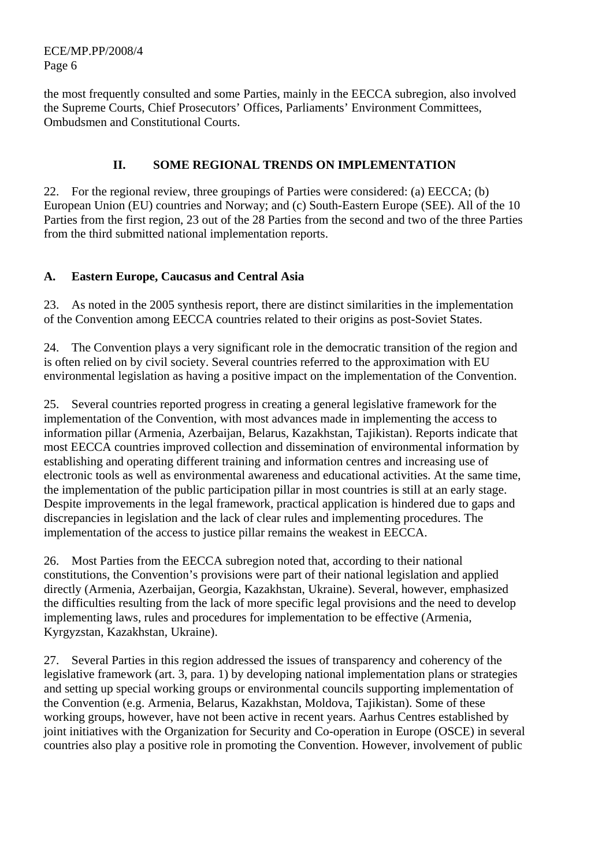ECE/MP.PP/2008/4 Page 6

the most frequently consulted and some Parties, mainly in the EECCA subregion, also involved the Supreme Courts, Chief Prosecutors' Offices, Parliaments' Environment Committees, Ombudsmen and Constitutional Courts.

## **II. SOME REGIONAL TRENDS ON IMPLEMENTATION**

22. For the regional review, three groupings of Parties were considered: (a) EECCA; (b) European Union (EU) countries and Norway; and (c) South-Eastern Europe (SEE). All of the 10 Parties from the first region, 23 out of the 28 Parties from the second and two of the three Parties from the third submitted national implementation reports.

## **A. Eastern Europe, Caucasus and Central Asia**

23. As noted in the 2005 synthesis report, there are distinct similarities in the implementation of the Convention among EECCA countries related to their origins as post-Soviet States.

24. The Convention plays a very significant role in the democratic transition of the region and is often relied on by civil society. Several countries referred to the approximation with EU environmental legislation as having a positive impact on the implementation of the Convention.

25. Several countries reported progress in creating a general legislative framework for the implementation of the Convention, with most advances made in implementing the access to information pillar (Armenia, Azerbaijan, Belarus, Kazakhstan, Tajikistan). Reports indicate that most EECCA countries improved collection and dissemination of environmental information by establishing and operating different training and information centres and increasing use of electronic tools as well as environmental awareness and educational activities. At the same time, the implementation of the public participation pillar in most countries is still at an early stage. Despite improvements in the legal framework, practical application is hindered due to gaps and discrepancies in legislation and the lack of clear rules and implementing procedures. The implementation of the access to justice pillar remains the weakest in EECCA.

26. Most Parties from the EECCA subregion noted that, according to their national constitutions, the Convention's provisions were part of their national legislation and applied directly (Armenia, Azerbaijan, Georgia, Kazakhstan, Ukraine). Several, however, emphasized the difficulties resulting from the lack of more specific legal provisions and the need to develop implementing laws, rules and procedures for implementation to be effective (Armenia, Kyrgyzstan, Kazakhstan, Ukraine).

27. Several Parties in this region addressed the issues of transparency and coherency of the legislative framework (art. 3, para. 1) by developing national implementation plans or strategies and setting up special working groups or environmental councils supporting implementation of the Convention (e.g. Armenia, Belarus, Kazakhstan, Moldova, Tajikistan). Some of these working groups, however, have not been active in recent years. Aarhus Centres established by joint initiatives with the Organization for Security and Co-operation in Europe (OSCE) in several countries also play a positive role in promoting the Convention. However, involvement of public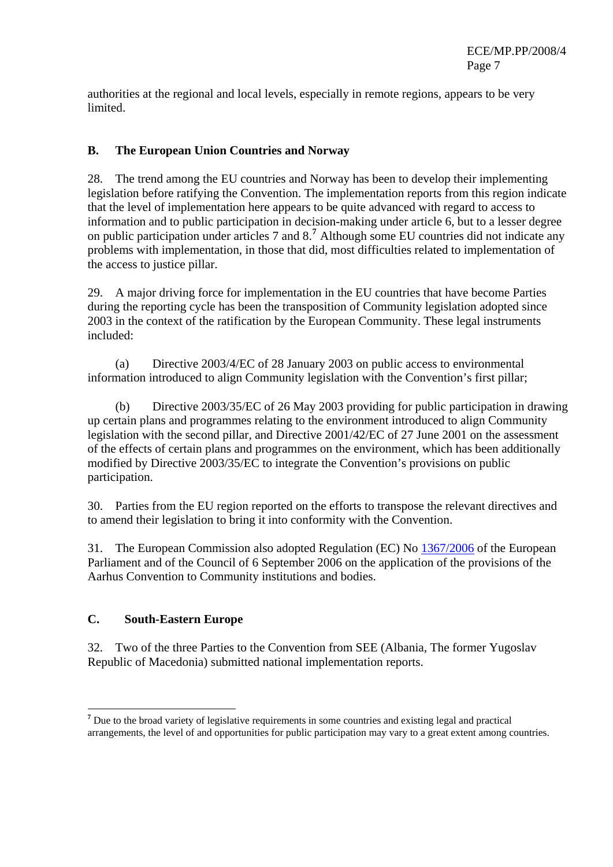authorities at the regional and local levels, especially in remote regions, appears to be very limited.

## **B. The European Union Countries and Norway**

28. The trend among the EU countries and Norway has been to develop their implementing legislation before ratifying the Convention. The implementation reports from this region indicate that the level of implementation here appears to be quite advanced with regard to access to information and to public participation in decision-making under article 6, but to a lesser degree on public participation under articles 7 and 8.**[7](#page-6-0)** Although some EU countries did not indicate any problems with implementation, in those that did, most difficulties related to implementation of the access to justice pillar.

29. A major driving force for implementation in the EU countries that have become Parties during the reporting cycle has been the transposition of Community legislation adopted since 2003 in the context of the ratification by the European Community. These legal instruments included:

(a) Directive 2003/4/EC of 28 January 2003 on public access to environmental information introduced to align Community legislation with the Convention's first pillar;

(b) Directive 2003/35/EC of 26 May 2003 providing for public participation in drawing up certain plans and programmes relating to the environment introduced to align Community legislation with the second pillar, and Directive 2001/42/EC of 27 June 2001 on the assessment of the effects of certain plans and programmes on the environment, which has been additionally modified by Directive 2003/35/EC to integrate the Convention's provisions on public participation.

30. Parties from the EU region reported on the efforts to transpose the relevant directives and to amend their legislation to bring it into conformity with the Convention.

31. The European Commission also adopted Regulation (EC) No [1367/2006](http://eur-lex.europa.eu/smartapi/cgi/sga_doc?smartapi%21celexplus%21prod%21DocNumber&lg=en&type_doc=Regulation&an_doc=2006&nu_doc=1367) of the European Parliament and of the Council of 6 September 2006 on the application of the provisions of the Aarhus Convention to Community institutions and bodies.

### **C. South-Eastern Europe**

1

32. Two of the three Parties to the Convention from SEE (Albania, The former Yugoslav Republic of Macedonia) submitted national implementation reports.

<span id="page-6-0"></span><sup>&</sup>lt;sup>7</sup> Due to the broad variety of legislative requirements in some countries and existing legal and practical arrangements, the level of and opportunities for public participation may vary to a great extent among countries.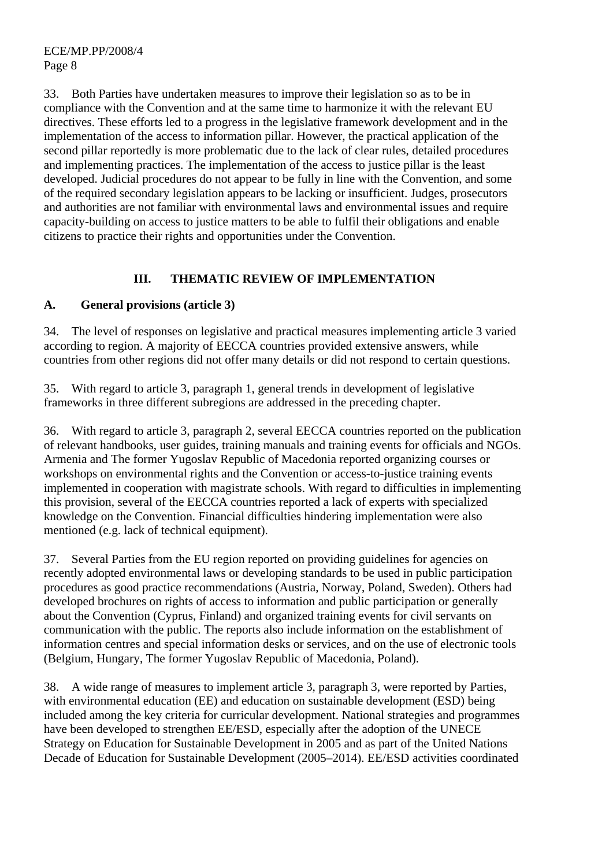33. Both Parties have undertaken measures to improve their legislation so as to be in compliance with the Convention and at the same time to harmonize it with the relevant EU directives. These efforts led to a progress in the legislative framework development and in the implementation of the access to information pillar. However, the practical application of the second pillar reportedly is more problematic due to the lack of clear rules, detailed procedures and implementing practices. The implementation of the access to justice pillar is the least developed. Judicial procedures do not appear to be fully in line with the Convention, and some of the required secondary legislation appears to be lacking or insufficient. Judges, prosecutors and authorities are not familiar with environmental laws and environmental issues and require capacity-building on access to justice matters to be able to fulfil their obligations and enable citizens to practice their rights and opportunities under the Convention.

## **III. THEMATIC REVIEW OF IMPLEMENTATION**

### **A. General provisions (article 3)**

34. The level of responses on legislative and practical measures implementing article 3 varied according to region. A majority of EECCA countries provided extensive answers, while countries from other regions did not offer many details or did not respond to certain questions.

35. With regard to article 3, paragraph 1, general trends in development of legislative frameworks in three different subregions are addressed in the preceding chapter.

36. With regard to article 3, paragraph 2, several EECCA countries reported on the publication of relevant handbooks, user guides, training manuals and training events for officials and NGOs. Armenia and The former Yugoslav Republic of Macedonia reported organizing courses or workshops on environmental rights and the Convention or access-to-justice training events implemented in cooperation with magistrate schools. With regard to difficulties in implementing this provision, several of the EECCA countries reported a lack of experts with specialized knowledge on the Convention. Financial difficulties hindering implementation were also mentioned (e.g. lack of technical equipment).

37. Several Parties from the EU region reported on providing guidelines for agencies on recently adopted environmental laws or developing standards to be used in public participation procedures as good practice recommendations (Austria, Norway, Poland, Sweden). Others had developed brochures on rights of access to information and public participation or generally about the Convention (Cyprus, Finland) and organized training events for civil servants on communication with the public. The reports also include information on the establishment of information centres and special information desks or services, and on the use of electronic tools (Belgium, Hungary, The former Yugoslav Republic of Macedonia, Poland).

38. A wide range of measures to implement article 3, paragraph 3, were reported by Parties, with environmental education (EE) and education on sustainable development (ESD) being included among the key criteria for curricular development. National strategies and programmes have been developed to strengthen EE/ESD, especially after the adoption of the UNECE Strategy on Education for Sustainable Development in 2005 and as part of the United Nations Decade of Education for Sustainable Development (2005–2014). EE/ESD activities coordinated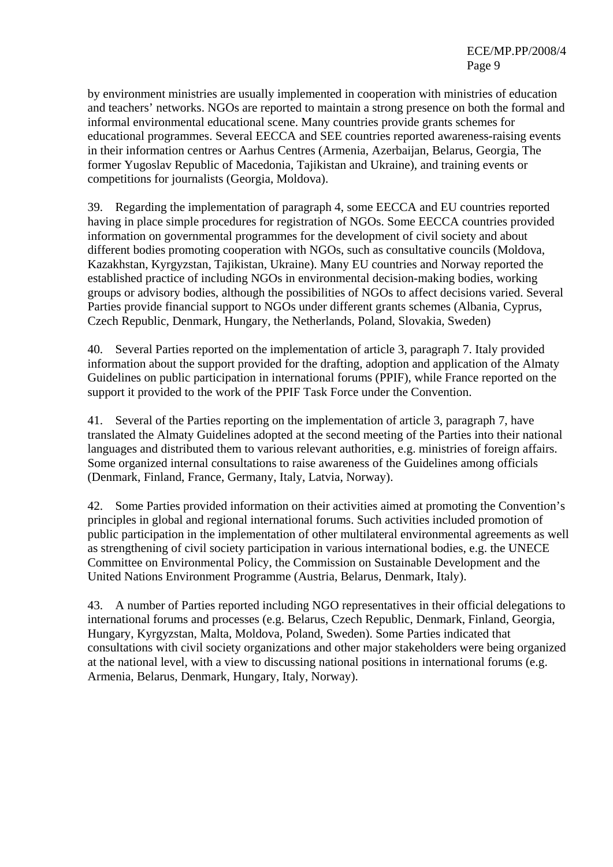by environment ministries are usually implemented in cooperation with ministries of education and teachers' networks. NGOs are reported to maintain a strong presence on both the formal and informal environmental educational scene. Many countries provide grants schemes for educational programmes. Several EECCA and SEE countries reported awareness-raising events in their information centres or Aarhus Centres (Armenia, Azerbaijan, Belarus, Georgia, The former Yugoslav Republic of Macedonia, Tajikistan and Ukraine), and training events or competitions for journalists (Georgia, Moldova).

39. Regarding the implementation of paragraph 4, some EECCA and EU countries reported having in place simple procedures for registration of NGOs. Some EECCA countries provided information on governmental programmes for the development of civil society and about different bodies promoting cooperation with NGOs, such as consultative councils (Moldova, Kazakhstan, Kyrgyzstan, Tajikistan, Ukraine). Many EU countries and Norway reported the established practice of including NGOs in environmental decision-making bodies, working groups or advisory bodies, although the possibilities of NGOs to affect decisions varied. Several Parties provide financial support to NGOs under different grants schemes (Albania, Cyprus, Czech Republic, Denmark, Hungary, the Netherlands, Poland, Slovakia, Sweden)

40. Several Parties reported on the implementation of article 3, paragraph 7. Italy provided information about the support provided for the drafting, adoption and application of the Almaty Guidelines on public participation in international forums (PPIF), while France reported on the support it provided to the work of the PPIF Task Force under the Convention.

41. Several of the Parties reporting on the implementation of article 3, paragraph 7, have translated the Almaty Guidelines adopted at the second meeting of the Parties into their national languages and distributed them to various relevant authorities, e.g. ministries of foreign affairs. Some organized internal consultations to raise awareness of the Guidelines among officials (Denmark, Finland, France, Germany, Italy, Latvia, Norway).

42. Some Parties provided information on their activities aimed at promoting the Convention's principles in global and regional international forums. Such activities included promotion of public participation in the implementation of other multilateral environmental agreements as well as strengthening of civil society participation in various international bodies, e.g. the UNECE Committee on Environmental Policy, the Commission on Sustainable Development and the United Nations Environment Programme (Austria, Belarus, Denmark, Italy).

43. A number of Parties reported including NGO representatives in their official delegations to international forums and processes (e.g. Belarus, Czech Republic, Denmark, Finland, Georgia, Hungary, Kyrgyzstan, Malta, Moldova, Poland, Sweden). Some Parties indicated that consultations with civil society organizations and other major stakeholders were being organized at the national level, with a view to discussing national positions in international forums (e.g. Armenia, Belarus, Denmark, Hungary, Italy, Norway).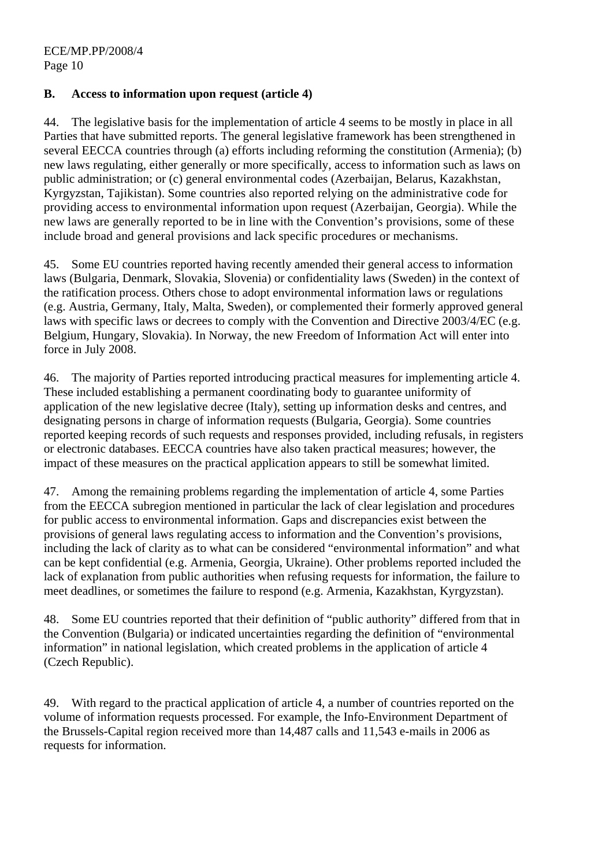ECE/MP.PP/2008/4 Page 10

#### **B. Access to information upon request (article 4)**

44. The legislative basis for the implementation of article 4 seems to be mostly in place in all Parties that have submitted reports. The general legislative framework has been strengthened in several EECCA countries through (a) efforts including reforming the constitution (Armenia); (b) new laws regulating, either generally or more specifically, access to information such as laws on public administration; or (c) general environmental codes (Azerbaijan, Belarus, Kazakhstan, Kyrgyzstan, Tajikistan). Some countries also reported relying on the administrative code for providing access to environmental information upon request (Azerbaijan, Georgia). While the new laws are generally reported to be in line with the Convention's provisions, some of these include broad and general provisions and lack specific procedures or mechanisms.

45. Some EU countries reported having recently amended their general access to information laws (Bulgaria, Denmark, Slovakia, Slovenia) or confidentiality laws (Sweden) in the context of the ratification process. Others chose to adopt environmental information laws or regulations (e.g. Austria, Germany, Italy, Malta, Sweden), or complemented their formerly approved general laws with specific laws or decrees to comply with the Convention and Directive 2003/4/EC (e.g. Belgium, Hungary, Slovakia). In Norway, the new Freedom of Information Act will enter into force in July 2008.

46. The majority of Parties reported introducing practical measures for implementing article 4. These included establishing a permanent coordinating body to guarantee uniformity of application of the new legislative decree (Italy), setting up information desks and centres, and designating persons in charge of information requests (Bulgaria, Georgia). Some countries reported keeping records of such requests and responses provided, including refusals, in registers or electronic databases. EECCA countries have also taken practical measures; however, the impact of these measures on the practical application appears to still be somewhat limited.

47. Among the remaining problems regarding the implementation of article 4, some Parties from the EECCA subregion mentioned in particular the lack of clear legislation and procedures for public access to environmental information. Gaps and discrepancies exist between the provisions of general laws regulating access to information and the Convention's provisions, including the lack of clarity as to what can be considered "environmental information" and what can be kept confidential (e.g. Armenia, Georgia, Ukraine). Other problems reported included the lack of explanation from public authorities when refusing requests for information, the failure to meet deadlines, or sometimes the failure to respond (e.g. Armenia, Kazakhstan, Kyrgyzstan).

48. Some EU countries reported that their definition of "public authority" differed from that in the Convention (Bulgaria) or indicated uncertainties regarding the definition of "environmental information" in national legislation, which created problems in the application of article 4 (Czech Republic).

49. With regard to the practical application of article 4, a number of countries reported on the volume of information requests processed. For example, the Info-Environment Department of the Brussels-Capital region received more than 14,487 calls and 11,543 e-mails in 2006 as requests for information.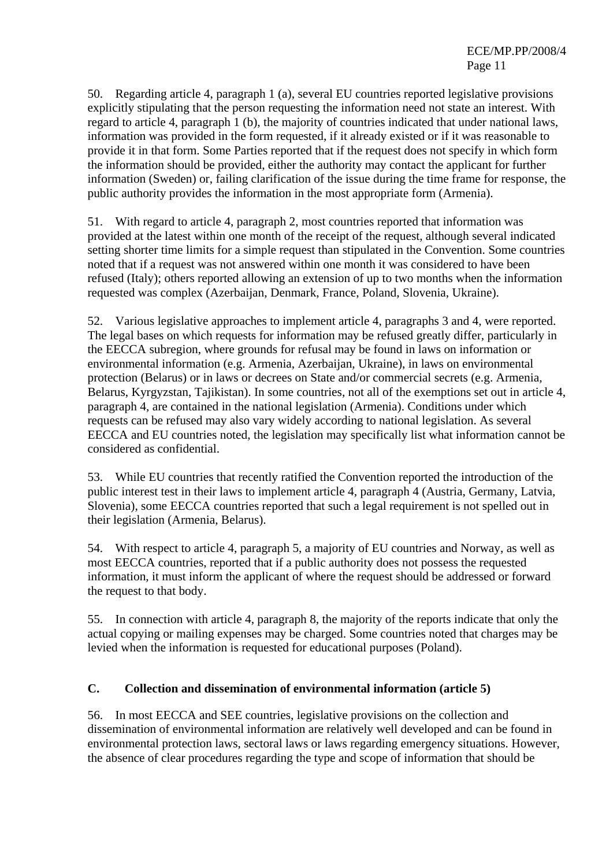50. Regarding article 4, paragraph 1 (a), several EU countries reported legislative provisions explicitly stipulating that the person requesting the information need not state an interest. With regard to article 4, paragraph 1 (b), the majority of countries indicated that under national laws, information was provided in the form requested, if it already existed or if it was reasonable to provide it in that form. Some Parties reported that if the request does not specify in which form the information should be provided, either the authority may contact the applicant for further information (Sweden) or, failing clarification of the issue during the time frame for response, the public authority provides the information in the most appropriate form (Armenia).

51. With regard to article 4, paragraph 2, most countries reported that information was provided at the latest within one month of the receipt of the request, although several indicated setting shorter time limits for a simple request than stipulated in the Convention. Some countries noted that if a request was not answered within one month it was considered to have been refused (Italy); others reported allowing an extension of up to two months when the information requested was complex (Azerbaijan, Denmark, France, Poland, Slovenia, Ukraine).

52. Various legislative approaches to implement article 4, paragraphs 3 and 4, were reported. The legal bases on which requests for information may be refused greatly differ, particularly in the EECCA subregion, where grounds for refusal may be found in laws on information or environmental information (e.g. Armenia, Azerbaijan, Ukraine), in laws on environmental protection (Belarus) or in laws or decrees on State and/or commercial secrets (e.g. Armenia, Belarus, Kyrgyzstan, Tajikistan). In some countries, not all of the exemptions set out in article 4, paragraph 4, are contained in the national legislation (Armenia). Conditions under which requests can be refused may also vary widely according to national legislation. As several EECCA and EU countries noted, the legislation may specifically list what information cannot be considered as confidential.

53. While EU countries that recently ratified the Convention reported the introduction of the public interest test in their laws to implement article 4, paragraph 4 (Austria, Germany, Latvia, Slovenia), some EECCA countries reported that such a legal requirement is not spelled out in their legislation (Armenia, Belarus).

54. With respect to article 4, paragraph 5, a majority of EU countries and Norway, as well as most EECCA countries, reported that if a public authority does not possess the requested information, it must inform the applicant of where the request should be addressed or forward the request to that body.

55. In connection with article 4, paragraph 8, the majority of the reports indicate that only the actual copying or mailing expenses may be charged. Some countries noted that charges may be levied when the information is requested for educational purposes (Poland).

### **C. Collection and dissemination of environmental information (article 5)**

56. In most EECCA and SEE countries, legislative provisions on the collection and dissemination of environmental information are relatively well developed and can be found in environmental protection laws, sectoral laws or laws regarding emergency situations. However, the absence of clear procedures regarding the type and scope of information that should be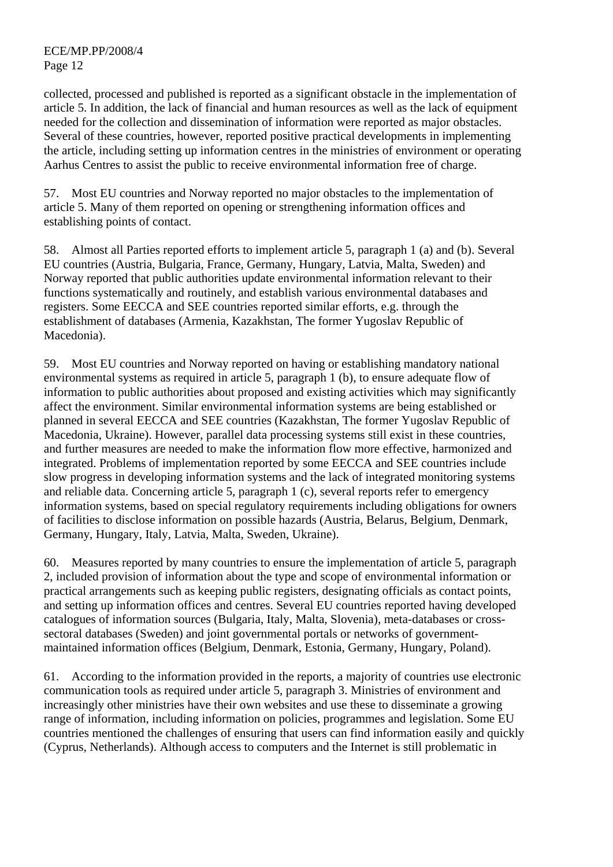collected, processed and published is reported as a significant obstacle in the implementation of article 5. In addition, the lack of financial and human resources as well as the lack of equipment needed for the collection and dissemination of information were reported as major obstacles. Several of these countries, however, reported positive practical developments in implementing the article, including setting up information centres in the ministries of environment or operating Aarhus Centres to assist the public to receive environmental information free of charge.

57. Most EU countries and Norway reported no major obstacles to the implementation of article 5. Many of them reported on opening or strengthening information offices and establishing points of contact.

58. Almost all Parties reported efforts to implement article 5, paragraph 1 (a) and (b). Several EU countries (Austria, Bulgaria, France, Germany, Hungary, Latvia, Malta, Sweden) and Norway reported that public authorities update environmental information relevant to their functions systematically and routinely, and establish various environmental databases and registers. Some EECCA and SEE countries reported similar efforts, e.g. through the establishment of databases (Armenia, Kazakhstan, The former Yugoslav Republic of Macedonia).

59. Most EU countries and Norway reported on having or establishing mandatory national environmental systems as required in article 5, paragraph 1 (b), to ensure adequate flow of information to public authorities about proposed and existing activities which may significantly affect the environment. Similar environmental information systems are being established or planned in several EECCA and SEE countries (Kazakhstan, The former Yugoslav Republic of Macedonia, Ukraine). However, parallel data processing systems still exist in these countries, and further measures are needed to make the information flow more effective, harmonized and integrated. Problems of implementation reported by some EECCA and SEE countries include slow progress in developing information systems and the lack of integrated monitoring systems and reliable data. Concerning article 5, paragraph 1 (c), several reports refer to emergency information systems, based on special regulatory requirements including obligations for owners of facilities to disclose information on possible hazards (Austria, Belarus, Belgium, Denmark, Germany, Hungary, Italy, Latvia, Malta, Sweden, Ukraine).

60. Measures reported by many countries to ensure the implementation of article 5, paragraph 2, included provision of information about the type and scope of environmental information or practical arrangements such as keeping public registers, designating officials as contact points, and setting up information offices and centres. Several EU countries reported having developed catalogues of information sources (Bulgaria, Italy, Malta, Slovenia), meta-databases or crosssectoral databases (Sweden) and joint governmental portals or networks of governmentmaintained information offices (Belgium, Denmark, Estonia, Germany, Hungary, Poland).

61. According to the information provided in the reports, a majority of countries use electronic communication tools as required under article 5, paragraph 3. Ministries of environment and increasingly other ministries have their own websites and use these to disseminate a growing range of information, including information on policies, programmes and legislation. Some EU countries mentioned the challenges of ensuring that users can find information easily and quickly (Cyprus, Netherlands). Although access to computers and the Internet is still problematic in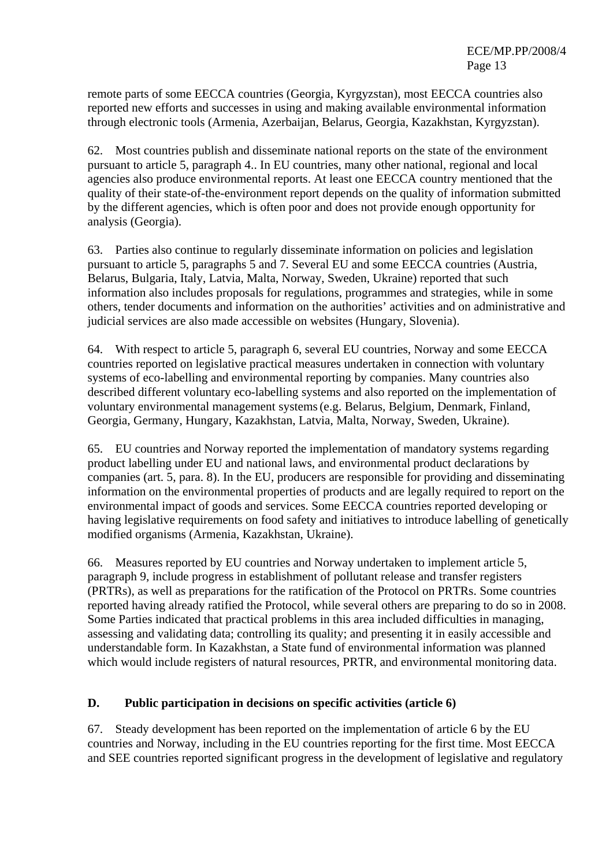remote parts of some EECCA countries (Georgia, Kyrgyzstan), most EECCA countries also reported new efforts and successes in using and making available environmental information through electronic tools (Armenia, Azerbaijan, Belarus, Georgia, Kazakhstan, Kyrgyzstan).

62. Most countries publish and disseminate national reports on the state of the environment pursuant to article 5, paragraph 4.. In EU countries, many other national, regional and local agencies also produce environmental reports. At least one EECCA country mentioned that the quality of their state-of-the-environment report depends on the quality of information submitted by the different agencies, which is often poor and does not provide enough opportunity for analysis (Georgia).

63. Parties also continue to regularly disseminate information on policies and legislation pursuant to article 5, paragraphs 5 and 7. Several EU and some EECCA countries (Austria, Belarus, Bulgaria, Italy, Latvia, Malta, Norway, Sweden, Ukraine) reported that such information also includes proposals for regulations, programmes and strategies, while in some others, tender documents and information on the authorities' activities and on administrative and judicial services are also made accessible on websites (Hungary, Slovenia).

64. With respect to article 5, paragraph 6, several EU countries, Norway and some EECCA countries reported on legislative practical measures undertaken in connection with voluntary systems of eco-labelling and environmental reporting by companies. Many countries also described different voluntary eco-labelling systems and also reported on the implementation of voluntary environmental management systems(e.g. Belarus, Belgium, Denmark, Finland, Georgia, Germany, Hungary, Kazakhstan, Latvia, Malta, Norway, Sweden, Ukraine).

65. EU countries and Norway reported the implementation of mandatory systems regarding product labelling under EU and national laws, and environmental product declarations by companies (art. 5, para. 8). In the EU, producers are responsible for providing and disseminating information on the environmental properties of products and are legally required to report on the environmental impact of goods and services. Some EECCA countries reported developing or having legislative requirements on food safety and initiatives to introduce labelling of genetically modified organisms (Armenia, Kazakhstan, Ukraine).

66. Measures reported by EU countries and Norway undertaken to implement article 5, paragraph 9, include progress in establishment of pollutant release and transfer registers (PRTRs), as well as preparations for the ratification of the Protocol on PRTRs. Some countries reported having already ratified the Protocol, while several others are preparing to do so in 2008. Some Parties indicated that practical problems in this area included difficulties in managing, assessing and validating data; controlling its quality; and presenting it in easily accessible and understandable form. In Kazakhstan, a State fund of environmental information was planned which would include registers of natural resources, PRTR, and environmental monitoring data.

### **D. Public participation in decisions on specific activities (article 6)**

67. Steady development has been reported on the implementation of article 6 by the EU countries and Norway, including in the EU countries reporting for the first time. Most EECCA and SEE countries reported significant progress in the development of legislative and regulatory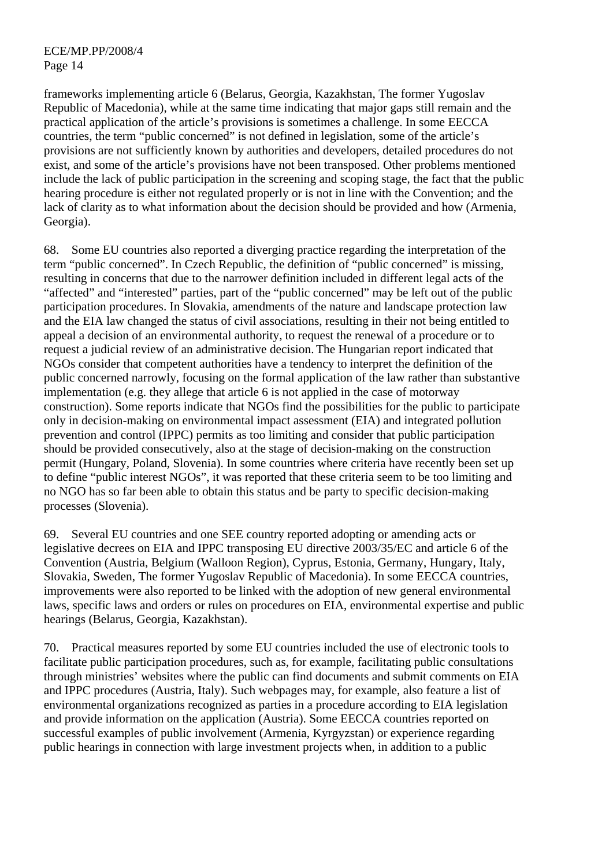frameworks implementing article 6 (Belarus, Georgia, Kazakhstan, The former Yugoslav Republic of Macedonia), while at the same time indicating that major gaps still remain and the practical application of the article's provisions is sometimes a challenge. In some EECCA countries, the term "public concerned" is not defined in legislation, some of the article's provisions are not sufficiently known by authorities and developers, detailed procedures do not exist, and some of the article's provisions have not been transposed. Other problems mentioned include the lack of public participation in the screening and scoping stage, the fact that the public hearing procedure is either not regulated properly or is not in line with the Convention; and the lack of clarity as to what information about the decision should be provided and how (Armenia, Georgia).

68. Some EU countries also reported a diverging practice regarding the interpretation of the term "public concerned". In Czech Republic, the definition of "public concerned" is missing, resulting in concerns that due to the narrower definition included in different legal acts of the "affected" and "interested" parties, part of the "public concerned" may be left out of the public participation procedures. In Slovakia, amendments of the nature and landscape protection law and the EIA law changed the status of civil associations, resulting in their not being entitled to appeal a decision of an environmental authority, to request the renewal of a procedure or to request a judicial review of an administrative decision. The Hungarian report indicated that NGOs consider that competent authorities have a tendency to interpret the definition of the public concerned narrowly, focusing on the formal application of the law rather than substantive implementation (e.g. they allege that article 6 is not applied in the case of motorway construction). Some reports indicate that NGOs find the possibilities for the public to participate only in decision-making on environmental impact assessment (EIA) and integrated pollution prevention and control (IPPC) permits as too limiting and consider that public participation should be provided consecutively, also at the stage of decision-making on the construction permit (Hungary, Poland, Slovenia). In some countries where criteria have recently been set up to define "public interest NGOs", it was reported that these criteria seem to be too limiting and no NGO has so far been able to obtain this status and be party to specific decision-making processes (Slovenia).

69. Several EU countries and one SEE country reported adopting or amending acts or legislative decrees on EIA and IPPC transposing EU directive 2003/35/EC and article 6 of the Convention (Austria, Belgium (Walloon Region), Cyprus, Estonia, Germany, Hungary, Italy, Slovakia, Sweden, The former Yugoslav Republic of Macedonia). In some EECCA countries, improvements were also reported to be linked with the adoption of new general environmental laws, specific laws and orders or rules on procedures on EIA, environmental expertise and public hearings (Belarus, Georgia, Kazakhstan).

70. Practical measures reported by some EU countries included the use of electronic tools to facilitate public participation procedures, such as, for example, facilitating public consultations through ministries' websites where the public can find documents and submit comments on EIA and IPPC procedures (Austria, Italy). Such webpages may, for example, also feature a list of environmental organizations recognized as parties in a procedure according to EIA legislation and provide information on the application (Austria). Some EECCA countries reported on successful examples of public involvement (Armenia, Kyrgyzstan) or experience regarding public hearings in connection with large investment projects when, in addition to a public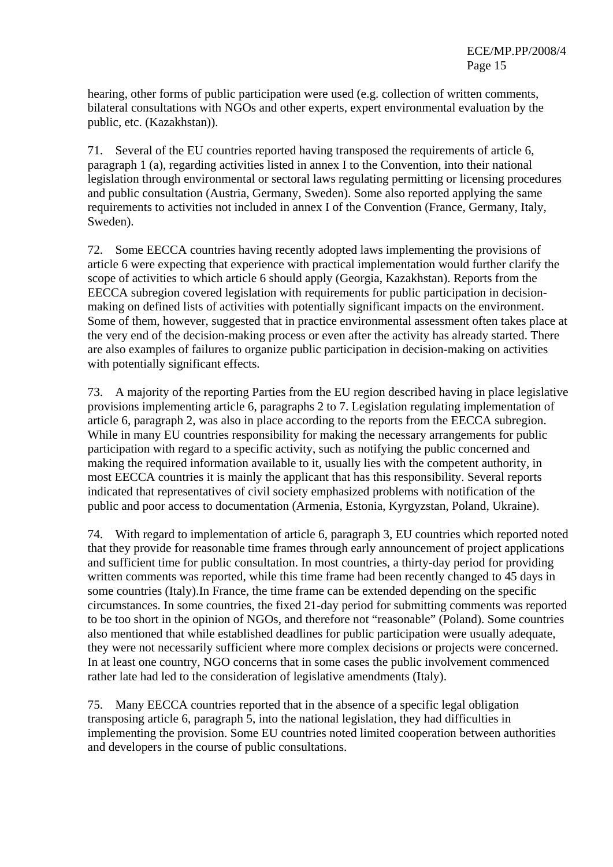hearing, other forms of public participation were used (e.g. collection of written comments, bilateral consultations with NGOs and other experts, expert environmental evaluation by the public, etc. (Kazakhstan)).

71. Several of the EU countries reported having transposed the requirements of article 6, paragraph 1 (a), regarding activities listed in annex I to the Convention, into their national legislation through environmental or sectoral laws regulating permitting or licensing procedures and public consultation (Austria, Germany, Sweden). Some also reported applying the same requirements to activities not included in annex I of the Convention (France, Germany, Italy, Sweden).

72. Some EECCA countries having recently adopted laws implementing the provisions of article 6 were expecting that experience with practical implementation would further clarify the scope of activities to which article 6 should apply (Georgia, Kazakhstan). Reports from the EECCA subregion covered legislation with requirements for public participation in decisionmaking on defined lists of activities with potentially significant impacts on the environment. Some of them, however, suggested that in practice environmental assessment often takes place at the very end of the decision-making process or even after the activity has already started. There are also examples of failures to organize public participation in decision-making on activities with potentially significant effects.

73. A majority of the reporting Parties from the EU region described having in place legislative provisions implementing article 6, paragraphs 2 to 7. Legislation regulating implementation of article 6, paragraph 2, was also in place according to the reports from the EECCA subregion. While in many EU countries responsibility for making the necessary arrangements for public participation with regard to a specific activity, such as notifying the public concerned and making the required information available to it, usually lies with the competent authority, in most EECCA countries it is mainly the applicant that has this responsibility. Several reports indicated that representatives of civil society emphasized problems with notification of the public and poor access to documentation (Armenia, Estonia, Kyrgyzstan, Poland, Ukraine).

74. With regard to implementation of article 6, paragraph 3, EU countries which reported noted that they provide for reasonable time frames through early announcement of project applications and sufficient time for public consultation. In most countries, a thirty-day period for providing written comments was reported, while this time frame had been recently changed to 45 days in some countries (Italy).In France, the time frame can be extended depending on the specific circumstances. In some countries, the fixed 21-day period for submitting comments was reported to be too short in the opinion of NGOs, and therefore not "reasonable" (Poland). Some countries also mentioned that while established deadlines for public participation were usually adequate, they were not necessarily sufficient where more complex decisions or projects were concerned. In at least one country, NGO concerns that in some cases the public involvement commenced rather late had led to the consideration of legislative amendments (Italy).

75. Many EECCA countries reported that in the absence of a specific legal obligation transposing article 6, paragraph 5, into the national legislation, they had difficulties in implementing the provision. Some EU countries noted limited cooperation between authorities and developers in the course of public consultations.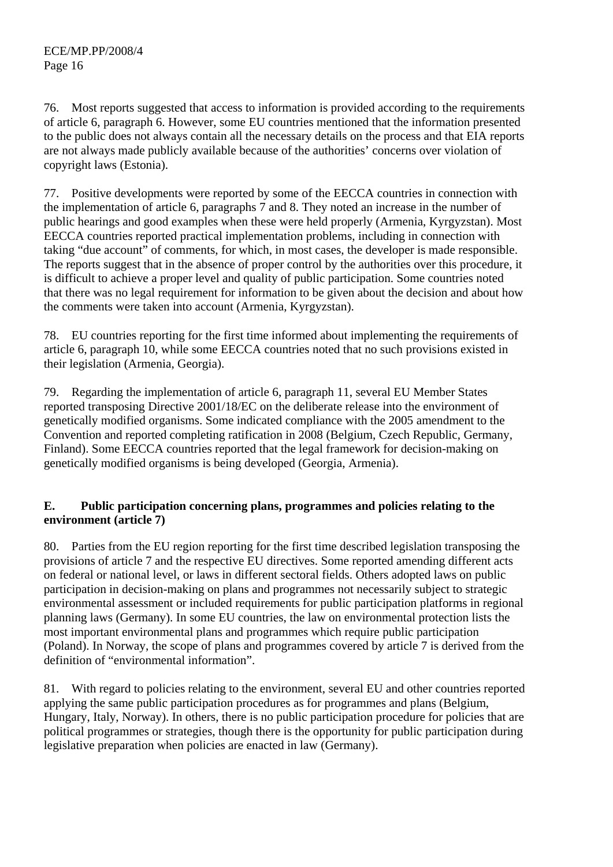76. Most reports suggested that access to information is provided according to the requirements of article 6, paragraph 6. However, some EU countries mentioned that the information presented to the public does not always contain all the necessary details on the process and that EIA reports are not always made publicly available because of the authorities' concerns over violation of copyright laws (Estonia).

77. Positive developments were reported by some of the EECCA countries in connection with the implementation of article 6, paragraphs 7 and 8. They noted an increase in the number of public hearings and good examples when these were held properly (Armenia, Kyrgyzstan). Most EECCA countries reported practical implementation problems, including in connection with taking "due account" of comments, for which, in most cases, the developer is made responsible. The reports suggest that in the absence of proper control by the authorities over this procedure, it is difficult to achieve a proper level and quality of public participation. Some countries noted that there was no legal requirement for information to be given about the decision and about how the comments were taken into account (Armenia, Kyrgyzstan).

78. EU countries reporting for the first time informed about implementing the requirements of article 6, paragraph 10, while some EECCA countries noted that no such provisions existed in their legislation (Armenia, Georgia).

79. Regarding the implementation of article 6, paragraph 11, several EU Member States reported transposing Directive 2001/18/EC on the deliberate release into the environment of genetically modified organisms. Some indicated compliance with the 2005 amendment to the Convention and reported completing ratification in 2008 (Belgium, Czech Republic, Germany, Finland). Some EECCA countries reported that the legal framework for decision-making on genetically modified organisms is being developed (Georgia, Armenia).

### **E. Public participation concerning plans, programmes and policies relating to the environment (article 7)**

80. Parties from the EU region reporting for the first time described legislation transposing the provisions of article 7 and the respective EU directives. Some reported amending different acts on federal or national level, or laws in different sectoral fields. Others adopted laws on public participation in decision-making on plans and programmes not necessarily subject to strategic environmental assessment or included requirements for public participation platforms in regional planning laws (Germany). In some EU countries, the law on environmental protection lists the most important environmental plans and programmes which require public participation (Poland). In Norway, the scope of plans and programmes covered by article 7 is derived from the definition of "environmental information".

81. With regard to policies relating to the environment, several EU and other countries reported applying the same public participation procedures as for programmes and plans (Belgium, Hungary, Italy, Norway). In others, there is no public participation procedure for policies that are political programmes or strategies, though there is the opportunity for public participation during legislative preparation when policies are enacted in law (Germany).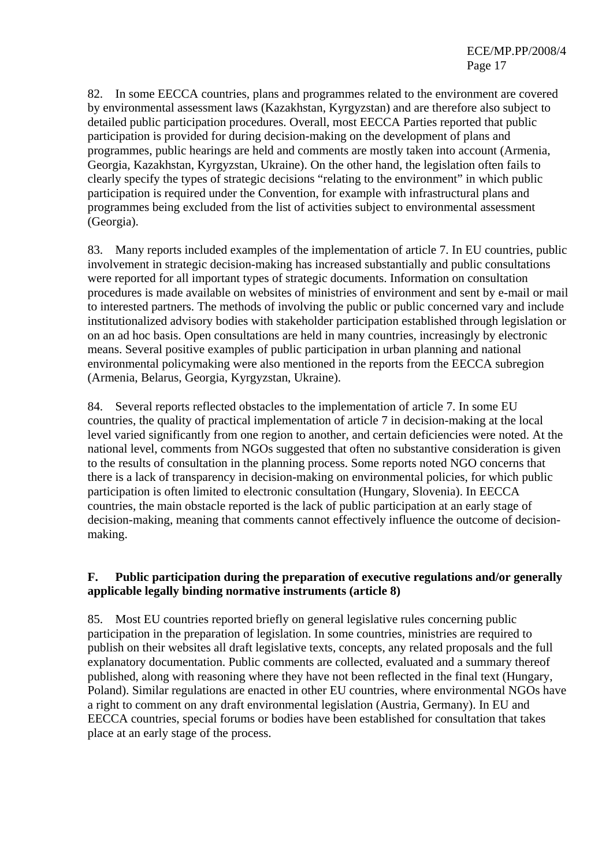82. In some EECCA countries, plans and programmes related to the environment are covered by environmental assessment laws (Kazakhstan, Kyrgyzstan) and are therefore also subject to detailed public participation procedures. Overall, most EECCA Parties reported that public participation is provided for during decision-making on the development of plans and programmes, public hearings are held and comments are mostly taken into account (Armenia, Georgia, Kazakhstan, Kyrgyzstan, Ukraine). On the other hand, the legislation often fails to clearly specify the types of strategic decisions "relating to the environment" in which public participation is required under the Convention, for example with infrastructural plans and programmes being excluded from the list of activities subject to environmental assessment (Georgia).

83. Many reports included examples of the implementation of article 7. In EU countries, public involvement in strategic decision-making has increased substantially and public consultations were reported for all important types of strategic documents. Information on consultation procedures is made available on websites of ministries of environment and sent by e-mail or mail to interested partners. The methods of involving the public or public concerned vary and include institutionalized advisory bodies with stakeholder participation established through legislation or on an ad hoc basis. Open consultations are held in many countries, increasingly by electronic means. Several positive examples of public participation in urban planning and national environmental policymaking were also mentioned in the reports from the EECCA subregion (Armenia, Belarus, Georgia, Kyrgyzstan, Ukraine).

84. Several reports reflected obstacles to the implementation of article 7. In some EU countries, the quality of practical implementation of article 7 in decision-making at the local level varied significantly from one region to another, and certain deficiencies were noted. At the national level, comments from NGOs suggested that often no substantive consideration is given to the results of consultation in the planning process. Some reports noted NGO concerns that there is a lack of transparency in decision-making on environmental policies, for which public participation is often limited to electronic consultation (Hungary, Slovenia). In EECCA countries, the main obstacle reported is the lack of public participation at an early stage of decision-making, meaning that comments cannot effectively influence the outcome of decisionmaking.

### **F. Public participation during the preparation of executive regulations and/or generally applicable legally binding normative instruments (article 8)**

85. Most EU countries reported briefly on general legislative rules concerning public participation in the preparation of legislation. In some countries, ministries are required to publish on their websites all draft legislative texts, concepts, any related proposals and the full explanatory documentation. Public comments are collected, evaluated and a summary thereof published, along with reasoning where they have not been reflected in the final text (Hungary, Poland). Similar regulations are enacted in other EU countries, where environmental NGOs have a right to comment on any draft environmental legislation (Austria, Germany). In EU and EECCA countries, special forums or bodies have been established for consultation that takes place at an early stage of the process.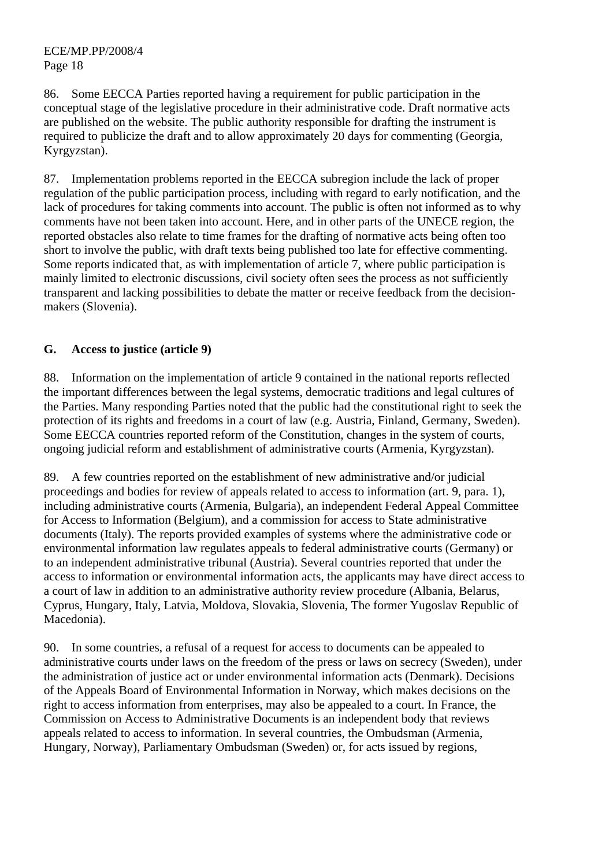86. Some EECCA Parties reported having a requirement for public participation in the conceptual stage of the legislative procedure in their administrative code. Draft normative acts are published on the website. The public authority responsible for drafting the instrument is required to publicize the draft and to allow approximately 20 days for commenting (Georgia, Kyrgyzstan).

87. Implementation problems reported in the EECCA subregion include the lack of proper regulation of the public participation process, including with regard to early notification, and the lack of procedures for taking comments into account. The public is often not informed as to why comments have not been taken into account. Here, and in other parts of the UNECE region, the reported obstacles also relate to time frames for the drafting of normative acts being often too short to involve the public, with draft texts being published too late for effective commenting. Some reports indicated that, as with implementation of article 7, where public participation is mainly limited to electronic discussions, civil society often sees the process as not sufficiently transparent and lacking possibilities to debate the matter or receive feedback from the decisionmakers (Slovenia).

## **G. Access to justice (article 9)**

88. Information on the implementation of article 9 contained in the national reports reflected the important differences between the legal systems, democratic traditions and legal cultures of the Parties. Many responding Parties noted that the public had the constitutional right to seek the protection of its rights and freedoms in a court of law (e.g. Austria, Finland, Germany, Sweden). Some EECCA countries reported reform of the Constitution, changes in the system of courts, ongoing judicial reform and establishment of administrative courts (Armenia, Kyrgyzstan).

89. A few countries reported on the establishment of new administrative and/or judicial proceedings and bodies for review of appeals related to access to information (art. 9, para. 1), including administrative courts (Armenia, Bulgaria), an independent Federal Appeal Committee for Access to Information (Belgium), and a commission for access to State administrative documents (Italy). The reports provided examples of systems where the administrative code or environmental information law regulates appeals to federal administrative courts (Germany) or to an independent administrative tribunal (Austria). Several countries reported that under the access to information or environmental information acts, the applicants may have direct access to a court of law in addition to an administrative authority review procedure (Albania, Belarus, Cyprus, Hungary, Italy, Latvia, Moldova, Slovakia, Slovenia, The former Yugoslav Republic of Macedonia).

90. In some countries, a refusal of a request for access to documents can be appealed to administrative courts under laws on the freedom of the press or laws on secrecy (Sweden), under the administration of justice act or under environmental information acts (Denmark). Decisions of the Appeals Board of Environmental Information in Norway, which makes decisions on the right to access information from enterprises, may also be appealed to a court. In France, the Commission on Access to Administrative Documents is an independent body that reviews appeals related to access to information. In several countries, the Ombudsman (Armenia, Hungary, Norway), Parliamentary Ombudsman (Sweden) or, for acts issued by regions,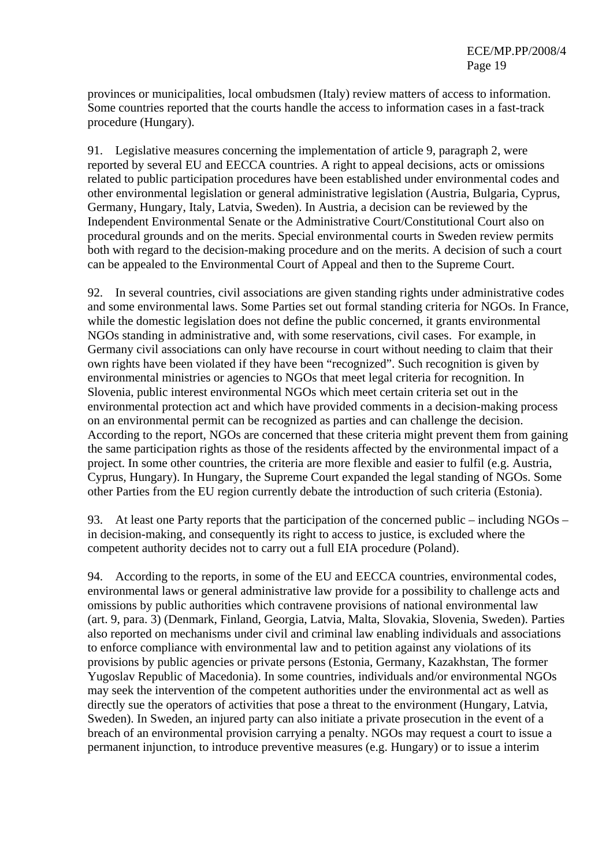provinces or municipalities, local ombudsmen (Italy) review matters of access to information. Some countries reported that the courts handle the access to information cases in a fast-track procedure (Hungary).

91. Legislative measures concerning the implementation of article 9, paragraph 2, were reported by several EU and EECCA countries. A right to appeal decisions, acts or omissions related to public participation procedures have been established under environmental codes and other environmental legislation or general administrative legislation (Austria, Bulgaria, Cyprus, Germany, Hungary, Italy, Latvia, Sweden). In Austria, a decision can be reviewed by the Independent Environmental Senate or the Administrative Court/Constitutional Court also on procedural grounds and on the merits. Special environmental courts in Sweden review permits both with regard to the decision-making procedure and on the merits. A decision of such a court can be appealed to the Environmental Court of Appeal and then to the Supreme Court.

92. In several countries, civil associations are given standing rights under administrative codes and some environmental laws. Some Parties set out formal standing criteria for NGOs. In France, while the domestic legislation does not define the public concerned, it grants environmental NGOs standing in administrative and, with some reservations, civil cases. For example, in Germany civil associations can only have recourse in court without needing to claim that their own rights have been violated if they have been "recognized". Such recognition is given by environmental ministries or agencies to NGOs that meet legal criteria for recognition. In Slovenia, public interest environmental NGOs which meet certain criteria set out in the environmental protection act and which have provided comments in a decision-making process on an environmental permit can be recognized as parties and can challenge the decision. According to the report, NGOs are concerned that these criteria might prevent them from gaining the same participation rights as those of the residents affected by the environmental impact of a project. In some other countries, the criteria are more flexible and easier to fulfil (e.g. Austria, Cyprus, Hungary). In Hungary, the Supreme Court expanded the legal standing of NGOs. Some other Parties from the EU region currently debate the introduction of such criteria (Estonia).

93. At least one Party reports that the participation of the concerned public – including NGOs – in decision-making, and consequently its right to access to justice, is excluded where the competent authority decides not to carry out a full EIA procedure (Poland).

94. According to the reports, in some of the EU and EECCA countries, environmental codes, environmental laws or general administrative law provide for a possibility to challenge acts and omissions by public authorities which contravene provisions of national environmental law (art. 9, para. 3) (Denmark, Finland, Georgia, Latvia, Malta, Slovakia, Slovenia, Sweden). Parties also reported on mechanisms under civil and criminal law enabling individuals and associations to enforce compliance with environmental law and to petition against any violations of its provisions by public agencies or private persons (Estonia, Germany, Kazakhstan, The former Yugoslav Republic of Macedonia). In some countries, individuals and/or environmental NGOs may seek the intervention of the competent authorities under the environmental act as well as directly sue the operators of activities that pose a threat to the environment (Hungary, Latvia, Sweden). In Sweden, an injured party can also initiate a private prosecution in the event of a breach of an environmental provision carrying a penalty. NGOs may request a court to issue a permanent injunction, to introduce preventive measures (e.g. Hungary) or to issue a interim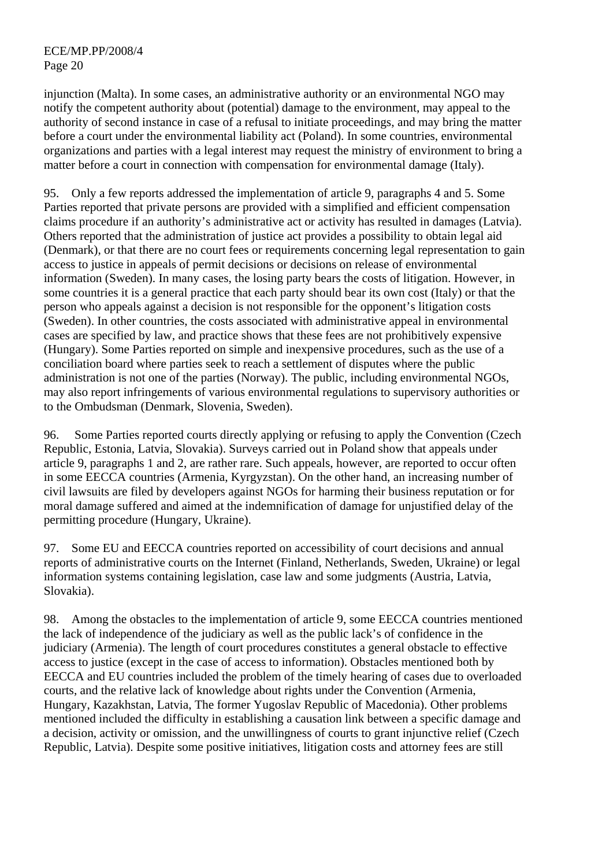injunction (Malta). In some cases, an administrative authority or an environmental NGO may notify the competent authority about (potential) damage to the environment, may appeal to the authority of second instance in case of a refusal to initiate proceedings, and may bring the matter before a court under the environmental liability act (Poland). In some countries, environmental organizations and parties with a legal interest may request the ministry of environment to bring a matter before a court in connection with compensation for environmental damage (Italy).

95. Only a few reports addressed the implementation of article 9, paragraphs 4 and 5. Some Parties reported that private persons are provided with a simplified and efficient compensation claims procedure if an authority's administrative act or activity has resulted in damages (Latvia). Others reported that the administration of justice act provides a possibility to obtain legal aid (Denmark), or that there are no court fees or requirements concerning legal representation to gain access to justice in appeals of permit decisions or decisions on release of environmental information (Sweden). In many cases, the losing party bears the costs of litigation. However, in some countries it is a general practice that each party should bear its own cost (Italy) or that the person who appeals against a decision is not responsible for the opponent's litigation costs (Sweden). In other countries, the costs associated with administrative appeal in environmental cases are specified by law, and practice shows that these fees are not prohibitively expensive (Hungary). Some Parties reported on simple and inexpensive procedures, such as the use of a conciliation board where parties seek to reach a settlement of disputes where the public administration is not one of the parties (Norway). The public, including environmental NGOs, may also report infringements of various environmental regulations to supervisory authorities or to the Ombudsman (Denmark, Slovenia, Sweden).

96. Some Parties reported courts directly applying or refusing to apply the Convention (Czech Republic, Estonia, Latvia, Slovakia). Surveys carried out in Poland show that appeals under article 9, paragraphs 1 and 2, are rather rare. Such appeals, however, are reported to occur often in some EECCA countries (Armenia, Kyrgyzstan). On the other hand, an increasing number of civil lawsuits are filed by developers against NGOs for harming their business reputation or for moral damage suffered and aimed at the indemnification of damage for unjustified delay of the permitting procedure (Hungary, Ukraine).

97. Some EU and EECCA countries reported on accessibility of court decisions and annual reports of administrative courts on the Internet (Finland, Netherlands, Sweden, Ukraine) or legal information systems containing legislation, case law and some judgments (Austria, Latvia, Slovakia).

98. Among the obstacles to the implementation of article 9, some EECCA countries mentioned the lack of independence of the judiciary as well as the public lack's of confidence in the judiciary (Armenia). The length of court procedures constitutes a general obstacle to effective access to justice (except in the case of access to information). Obstacles mentioned both by EECCA and EU countries included the problem of the timely hearing of cases due to overloaded courts, and the relative lack of knowledge about rights under the Convention (Armenia, Hungary, Kazakhstan, Latvia, The former Yugoslav Republic of Macedonia). Other problems mentioned included the difficulty in establishing a causation link between a specific damage and a decision, activity or omission, and the unwillingness of courts to grant injunctive relief (Czech Republic, Latvia). Despite some positive initiatives, litigation costs and attorney fees are still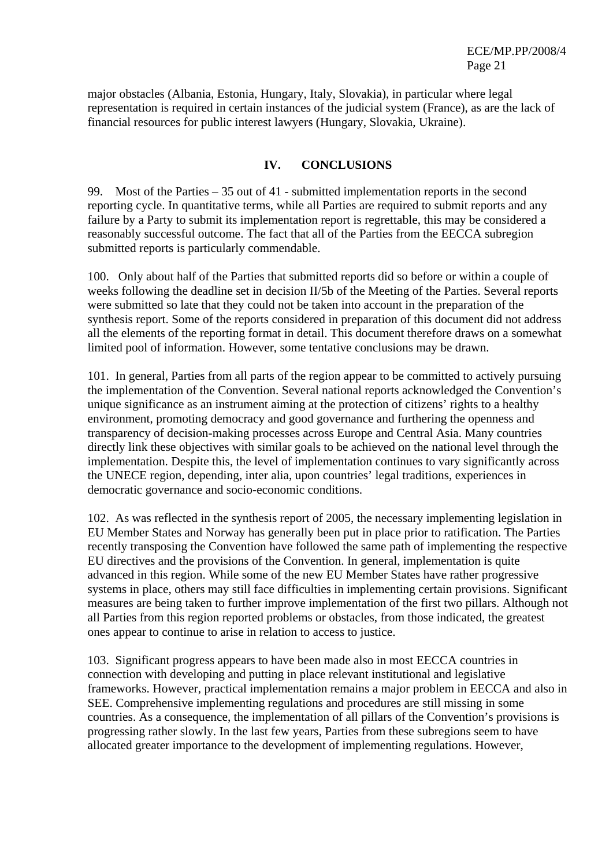major obstacles (Albania, Estonia, Hungary, Italy, Slovakia), in particular where legal representation is required in certain instances of the judicial system (France), as are the lack of financial resources for public interest lawyers (Hungary, Slovakia, Ukraine).

### **IV. CONCLUSIONS**

99. Most of the Parties – 35 out of 41 - submitted implementation reports in the second reporting cycle. In quantitative terms, while all Parties are required to submit reports and any failure by a Party to submit its implementation report is regrettable, this may be considered a reasonably successful outcome. The fact that all of the Parties from the EECCA subregion submitted reports is particularly commendable.

100. Only about half of the Parties that submitted reports did so before or within a couple of weeks following the deadline set in decision II/5b of the Meeting of the Parties. Several reports were submitted so late that they could not be taken into account in the preparation of the synthesis report. Some of the reports considered in preparation of this document did not address all the elements of the reporting format in detail. This document therefore draws on a somewhat limited pool of information. However, some tentative conclusions may be drawn.

101. In general, Parties from all parts of the region appear to be committed to actively pursuing the implementation of the Convention. Several national reports acknowledged the Convention's unique significance as an instrument aiming at the protection of citizens' rights to a healthy environment, promoting democracy and good governance and furthering the openness and transparency of decision-making processes across Europe and Central Asia. Many countries directly link these objectives with similar goals to be achieved on the national level through the implementation. Despite this, the level of implementation continues to vary significantly across the UNECE region, depending, inter alia, upon countries' legal traditions, experiences in democratic governance and socio-economic conditions.

102. As was reflected in the synthesis report of 2005, the necessary implementing legislation in EU Member States and Norway has generally been put in place prior to ratification. The Parties recently transposing the Convention have followed the same path of implementing the respective EU directives and the provisions of the Convention. In general, implementation is quite advanced in this region. While some of the new EU Member States have rather progressive systems in place, others may still face difficulties in implementing certain provisions. Significant measures are being taken to further improve implementation of the first two pillars. Although not all Parties from this region reported problems or obstacles, from those indicated, the greatest ones appear to continue to arise in relation to access to justice.

103. Significant progress appears to have been made also in most EECCA countries in connection with developing and putting in place relevant institutional and legislative frameworks. However, practical implementation remains a major problem in EECCA and also in SEE. Comprehensive implementing regulations and procedures are still missing in some countries. As a consequence, the implementation of all pillars of the Convention's provisions is progressing rather slowly. In the last few years, Parties from these subregions seem to have allocated greater importance to the development of implementing regulations. However,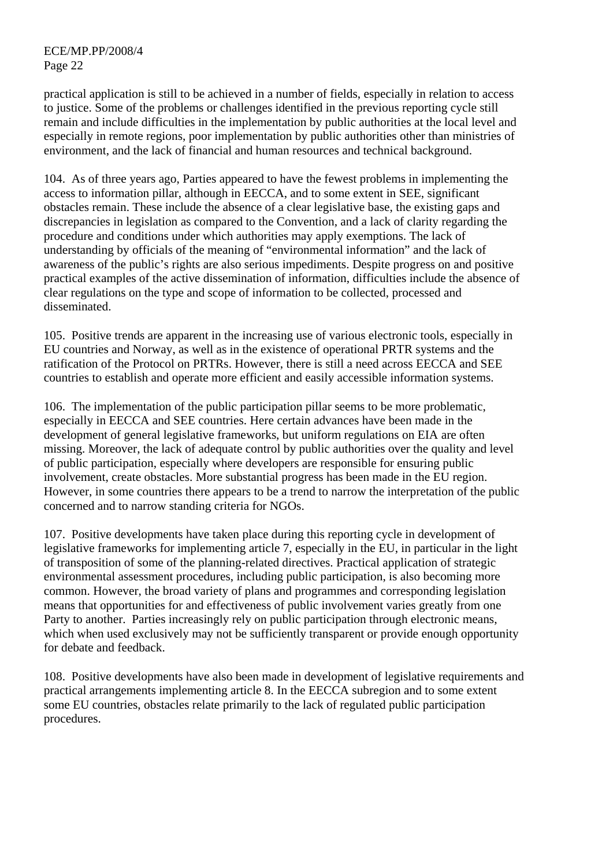practical application is still to be achieved in a number of fields, especially in relation to access to justice. Some of the problems or challenges identified in the previous reporting cycle still remain and include difficulties in the implementation by public authorities at the local level and especially in remote regions, poor implementation by public authorities other than ministries of environment, and the lack of financial and human resources and technical background.

104. As of three years ago, Parties appeared to have the fewest problems in implementing the access to information pillar, although in EECCA, and to some extent in SEE, significant obstacles remain. These include the absence of a clear legislative base, the existing gaps and discrepancies in legislation as compared to the Convention, and a lack of clarity regarding the procedure and conditions under which authorities may apply exemptions. The lack of understanding by officials of the meaning of "environmental information" and the lack of awareness of the public's rights are also serious impediments. Despite progress on and positive practical examples of the active dissemination of information, difficulties include the absence of clear regulations on the type and scope of information to be collected, processed and disseminated.

105. Positive trends are apparent in the increasing use of various electronic tools, especially in EU countries and Norway, as well as in the existence of operational PRTR systems and the ratification of the Protocol on PRTRs. However, there is still a need across EECCA and SEE countries to establish and operate more efficient and easily accessible information systems.

106. The implementation of the public participation pillar seems to be more problematic, especially in EECCA and SEE countries. Here certain advances have been made in the development of general legislative frameworks, but uniform regulations on EIA are often missing. Moreover, the lack of adequate control by public authorities over the quality and level of public participation, especially where developers are responsible for ensuring public involvement, create obstacles. More substantial progress has been made in the EU region. However, in some countries there appears to be a trend to narrow the interpretation of the public concerned and to narrow standing criteria for NGOs.

107. Positive developments have taken place during this reporting cycle in development of legislative frameworks for implementing article 7, especially in the EU, in particular in the light of transposition of some of the planning-related directives. Practical application of strategic environmental assessment procedures, including public participation, is also becoming more common. However, the broad variety of plans and programmes and corresponding legislation means that opportunities for and effectiveness of public involvement varies greatly from one Party to another. Parties increasingly rely on public participation through electronic means, which when used exclusively may not be sufficiently transparent or provide enough opportunity for debate and feedback.

108. Positive developments have also been made in development of legislative requirements and practical arrangements implementing article 8. In the EECCA subregion and to some extent some EU countries, obstacles relate primarily to the lack of regulated public participation procedures.